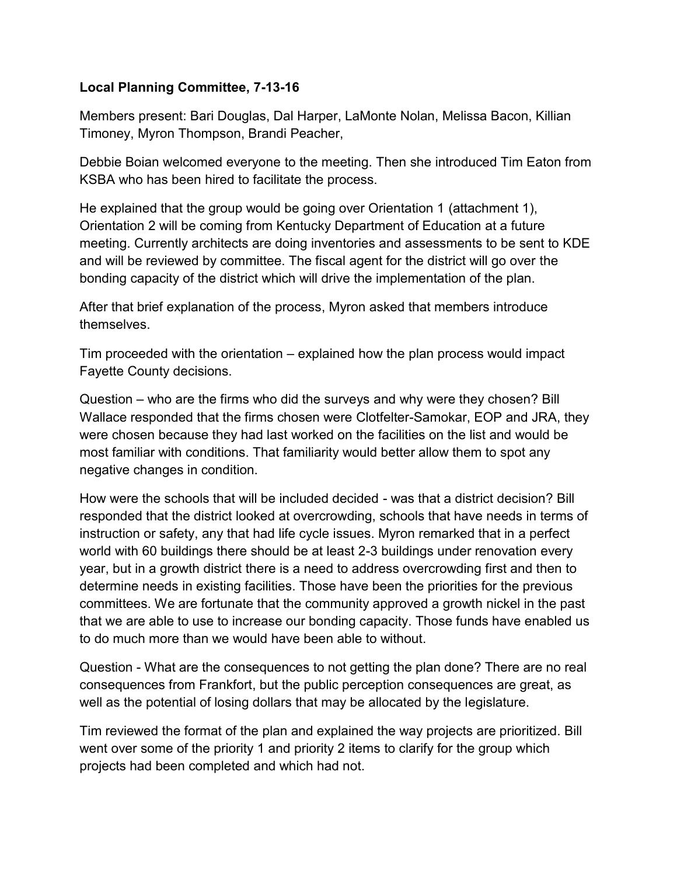## **Local Planning Committee, 7-13-16**

Members present: Bari Douglas, Dal Harper, LaMonte Nolan, Melissa Bacon, Killian Timoney, Myron Thompson, Brandi Peacher,

Debbie Boian welcomed everyone to the meeting. Then she introduced Tim Eaton from KSBA who has been hired to facilitate the process.

He explained that the group would be going over Orientation 1 (attachment 1), Orientation 2 will be coming from Kentucky Department of Education at a future meeting. Currently architects are doing inventories and assessments to be sent to KDE and will be reviewed by committee. The fiscal agent for the district will go over the bonding capacity of the district which will drive the implementation of the plan.

After that brief explanation of the process, Myron asked that members introduce themselves.

Tim proceeded with the orientation – explained how the plan process would impact Fayette County decisions.

Question – who are the firms who did the surveys and why were they chosen? Bill Wallace responded that the firms chosen were Clotfelter-Samokar, EOP and JRA, they were chosen because they had last worked on the facilities on the list and would be most familiar with conditions. That familiarity would better allow them to spot any negative changes in condition.

How were the schools that will be included decided - was that a district decision? Bill responded that the district looked at overcrowding, schools that have needs in terms of instruction or safety, any that had life cycle issues. Myron remarked that in a perfect world with 60 buildings there should be at least 2-3 buildings under renovation every year, but in a growth district there is a need to address overcrowding first and then to determine needs in existing facilities. Those have been the priorities for the previous committees. We are fortunate that the community approved a growth nickel in the past that we are able to use to increase our bonding capacity. Those funds have enabled us to do much more than we would have been able to without.

Question - What are the consequences to not getting the plan done? There are no real consequences from Frankfort, but the public perception consequences are great, as well as the potential of losing dollars that may be allocated by the legislature.

Tim reviewed the format of the plan and explained the way projects are prioritized. Bill went over some of the priority 1 and priority 2 items to clarify for the group which projects had been completed and which had not.